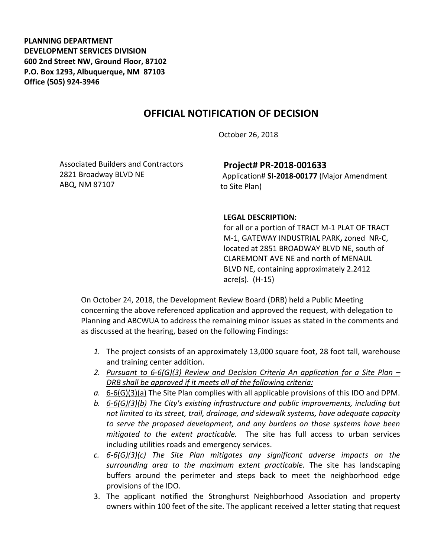**PLANNING DEPARTMENT DEVELOPMENT SERVICES DIVISION 600 2nd Street NW, Ground Floor, 87102 P.O. Box 1293, Albuquerque, NM 87103 Office (505) 924-3946** 

## **OFFICIAL NOTIFICATION OF DECISION**

October 26, 2018

Associated Builders and Contractors 2821 Broadway BLVD NE ABQ, NM 87107

**Project# PR-2018-001633**

Application# **SI-2018-00177** (Major Amendment to Site Plan)

## **LEGAL DESCRIPTION:**

for all or a portion of TRACT M-1 PLAT OF TRACT M-1, GATEWAY INDUSTRIAL PARK**,** zoned NR-C, located at 2851 BROADWAY BLVD NE, south of CLAREMONT AVE NE and north of MENAUL BLVD NE, containing approximately 2.2412 acre(s). (H-15)

On October 24, 2018, the Development Review Board (DRB) held a Public Meeting concerning the above referenced application and approved the request, with delegation to Planning and ABCWUA to address the remaining minor issues as stated in the comments and as discussed at the hearing, based on the following Findings:

- *1.* The project consists of an approximately 13,000 square foot, 28 foot tall, warehouse and training center addition.
- *2. Pursuant to 6-6(G)(3) Review and Decision Criteria An application for a Site Plan – DRB shall be approved if it meets all of the following criteria:*
- *a.* 6-6(G)(3)(a) The Site Plan complies with all applicable provisions of this IDO and DPM.
- *b. 6-6(G)(3)(b) The City's existing infrastructure and public improvements, including but not limited to its street, trail, drainage, and sidewalk systems, have adequate capacity to serve the proposed development, and any burdens on those systems have been mitigated to the extent practicable.* The site has full access to urban services including utilities roads and emergency services.
- *c. 6-6(G)(3)(c) The Site Plan mitigates any significant adverse impacts on the surrounding area to the maximum extent practicable.* The site has landscaping buffers around the perimeter and steps back to meet the neighborhood edge provisions of the IDO.
- 3. The applicant notified the Stronghurst Neighborhood Association and property owners within 100 feet of the site. The applicant received a letter stating that request